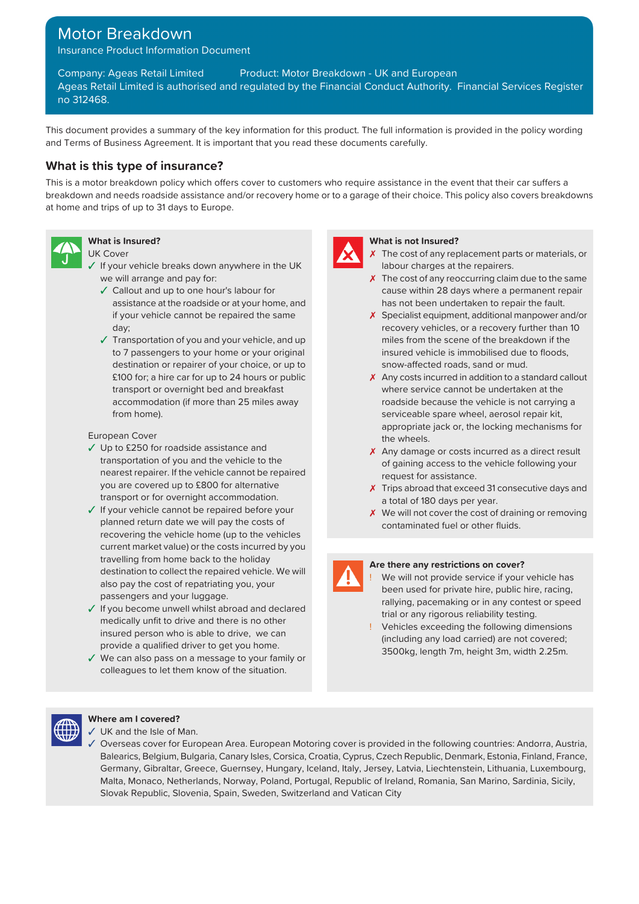# Motor Breakdown

Insurance Product Information Document

Company: Ageas Retail Limited Product: Motor Breakdown - UK and European Ageas Retail Limited is authorised and regulated by the Financial Conduct Authority. Financial Services Register no 312468.

This document provides a summary of the key information for this product. The full information is provided in the policy wording and Terms of Business Agreement. It is important that you read these documents carefully.

# **What is this type of insurance?**

This is a motor breakdown policy which offers cover to customers who require assistance in the event that their car suffers a breakdown and needs roadside assistance and/or recovery home or to a garage of their choice. This policy also covers breakdowns at home and trips of up to 31 days to Europe.



- $\sqrt{\frac{1}{2}}$  If your vehicle breaks down anywhere in the UK labour charges at the repairers.
	- ✓ Callout and up to one hour's labour for assistance at the roadside or at your home, and if your vehicle cannot be repaired the same day;
	- ✓ Transportation of you and your vehicle, and up miles from the scene of the breakdown if the destination or repairer of your choice, or up to snow-affected roads, sand or mud. accommodation (if more than 25 miles away from home).

# European Cover and the wheels.

- ✓ Up to £250 for roadside assistance and transportation of you and the vehicle to the nearest repairer. If the vehicle cannot be repaired request for assistance. you are covered up to £800 for alternative transport or for overnight accommodation.
- ✓ If your vehicle cannot be repaired before your planned return date we will pay the costs of recovering the vehicle home (up to the vehicles current market value) or the costs incurred by you **Are there any restrictions on cover? Are there any restrictions on cover?** destination to collect the repaired vehicle. We will also pay the cost of repatriating you, your passengers and your luggage.
- The value of the state of the state of the state of the state of the state of the state of the state of the medically unfit to drive and there is no other the state of the state of the state of the state of the state of t insured person who is able to drive, we can provide a qualified driver to get you home.
- ✓ We can also pass on a message to your family or colleagues to let them know of the situation.



### **What is Insured? What is not Insured?**

- UK Cover  $\overline{X}$  The cost of any replacement parts or materials, or
	- we will arrange and pay for:  $\lambda$  The cost of any reoccurring claim due to the same cause within 28 days where a permanent repair has not been undertaken to repair the fault.
		- ✗ Specialist equipment, additional manpower and/or recovery vehicles, or a recovery further than 10 to 7 passengers to your home or your original insured vehicle is immobilised due to floods,
		- £100 for; a hire car for up to 24 hours or public ✗ Any costs incurred in addition to a standard callout transport or overnight bed and breakfast where service cannot be undertaken at the roadside because the vehicle is not carrying a serviceable spare wheel, aerosol repair kit, appropriate jack or, the locking mechanisms for
			- X Any damage or costs incurred as a direct result of gaining access to the vehicle following your
			- X Trips abroad that exceed 31 consecutive days and a total of 180 days per year.
			- ✗ We will not cover the cost of draining or removing contaminated fuel or other fluids.

We will not provide service if your vehicle has been used for private hire, public hire, racing, rallying, pacemaking or in any contest or speed

Vehicles exceeding the following dimensions (including any load carried) are not covered; 3500kg, length 7m, height 3m, width 2.25m.



# **Where am I covered?**

- UK and the Isle of Man.
- ✓ Overseas cover for European Area. European Motoring cover is provided in the following countries: Andorra, Austria, Balearics, Belgium, Bulgaria, Canary Isles, Corsica, Croatia, Cyprus, Czech Republic, Denmark, Estonia, Finland, France, Germany, Gibraltar, Greece, Guernsey, Hungary, Iceland, Italy, Jersey, Latvia, Liechtenstein, Lithuania, Luxembourg, Malta, Monaco, Netherlands, Norway, Poland, Portugal, Republic of Ireland, Romania, San Marino, Sardinia, Sicily, Slovak Republic, Slovenia, Spain, Sweden, Switzerland and Vatican City